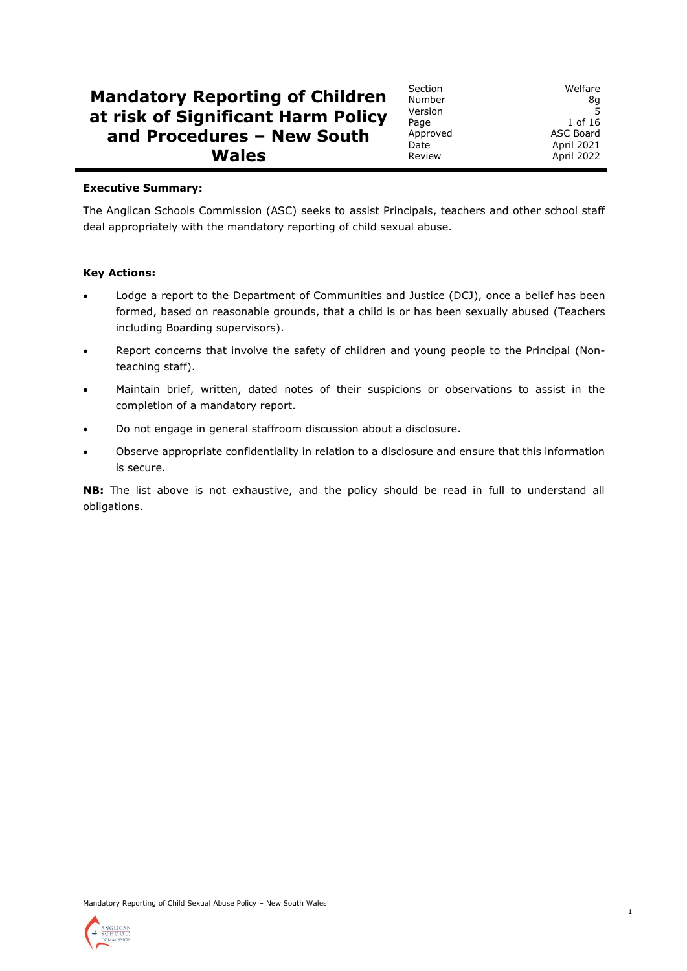# **Mandatory Reporting of Children at risk of Significant Harm Policy and Procedures – New South Wales**

Section Welfare Number 8g Version 5 Page 1 of 16 Approved ASC Board Date April 2021 Review **April 2022** 

## **Executive Summary:**

The Anglican Schools Commission (ASC) seeks to assist Principals, teachers and other school staff deal appropriately with the mandatory reporting of child sexual abuse.

# **Key Actions:**

- Lodge a report to the Department of Communities and Justice (DCJ), once a belief has been formed, based on reasonable grounds, that a child is or has been sexually abused (Teachers including Boarding supervisors).
- Report concerns that involve the safety of children and young people to the Principal (Nonteaching staff).
- Maintain brief, written, dated notes of their suspicions or observations to assist in the completion of a mandatory report.
- Do not engage in general staffroom discussion about a disclosure.
- Observe appropriate confidentiality in relation to a disclosure and ensure that this information is secure.

**NB:** The list above is not exhaustive, and the policy should be read in full to understand all obligations.



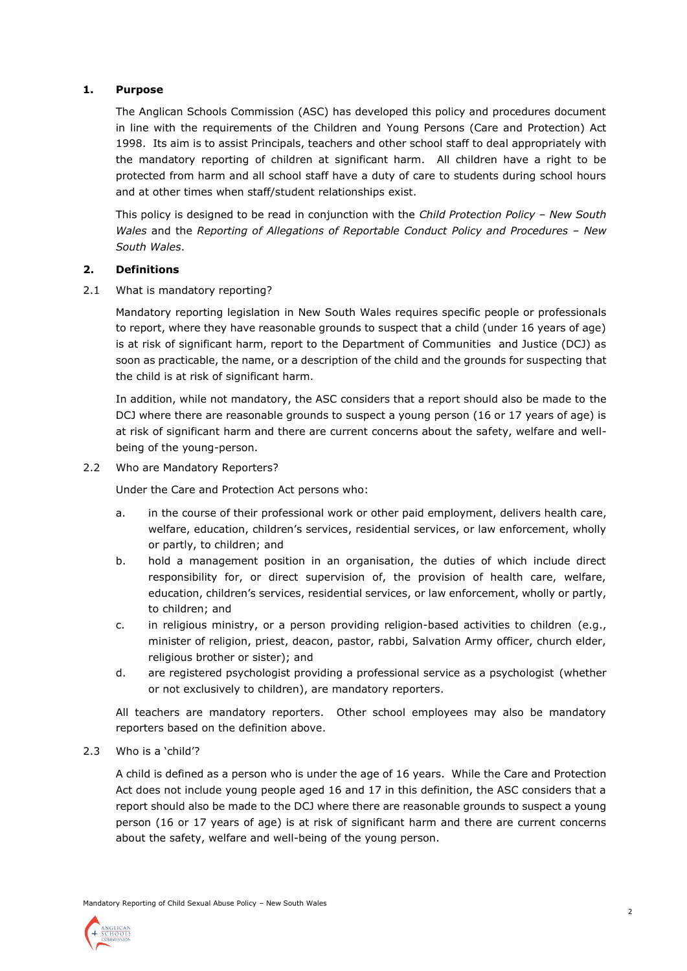# **1. Purpose**

The Anglican Schools Commission (ASC) has developed this policy and procedures document in line with the requirements of the Children and Young Persons (Care and Protection) Act 1998. Its aim is to assist Principals, teachers and other school staff to deal appropriately with the mandatory reporting of children at significant harm. All children have a right to be protected from harm and all school staff have a duty of care to students during school hours and at other times when staff/student relationships exist.

This policy is designed to be read in conjunction with the *Child Protection Policy – New South Wales* and the *Reporting of Allegations of Reportable Conduct Policy and Procedures – New South Wales*.

# **2. Definitions**

2.1 What is mandatory reporting?

Mandatory reporting legislation in New South Wales requires specific people or professionals to report, where they have reasonable grounds to suspect that a child (under 16 years of age) is at risk of significant harm, report to the Department of Communities and Justice (DCJ) as soon as practicable, the name, or a description of the child and the grounds for suspecting that the child is at risk of significant harm.

In addition, while not mandatory, the ASC considers that a report should also be made to the DCJ where there are reasonable grounds to suspect a young person (16 or 17 years of age) is at risk of significant harm and there are current concerns about the safety, welfare and wellbeing of the young-person.

2.2 Who are Mandatory Reporters?

Under the Care and Protection Act persons who:

- a. in the course of their professional work or other paid employment, delivers health care, welfare, education, children's services, residential services, or law enforcement, wholly or partly, to children; and
- b. hold a management position in an organisation, the duties of which include direct responsibility for, or direct supervision of, the provision of health care, welfare, education, children's services, residential services, or law enforcement, wholly or partly, to children; and
- c. in religious ministry, or a person providing religion-based activities to children (e.g., minister of religion, priest, deacon, pastor, rabbi, Salvation Army officer, church elder, religious brother or sister); and
- d. are registered psychologist providing a professional service as a psychologist (whether or not exclusively to children), are mandatory reporters.

All teachers are mandatory reporters. Other school employees may also be mandatory reporters based on the definition above.

2.3 Who is a 'child'?

A child is defined as a person who is under the age of 16 years. While the Care and Protection Act does not include young people aged 16 and 17 in this definition, the ASC considers that a report should also be made to the DCJ where there are reasonable grounds to suspect a young person (16 or 17 years of age) is at risk of significant harm and there are current concerns about the safety, welfare and well-being of the young person.

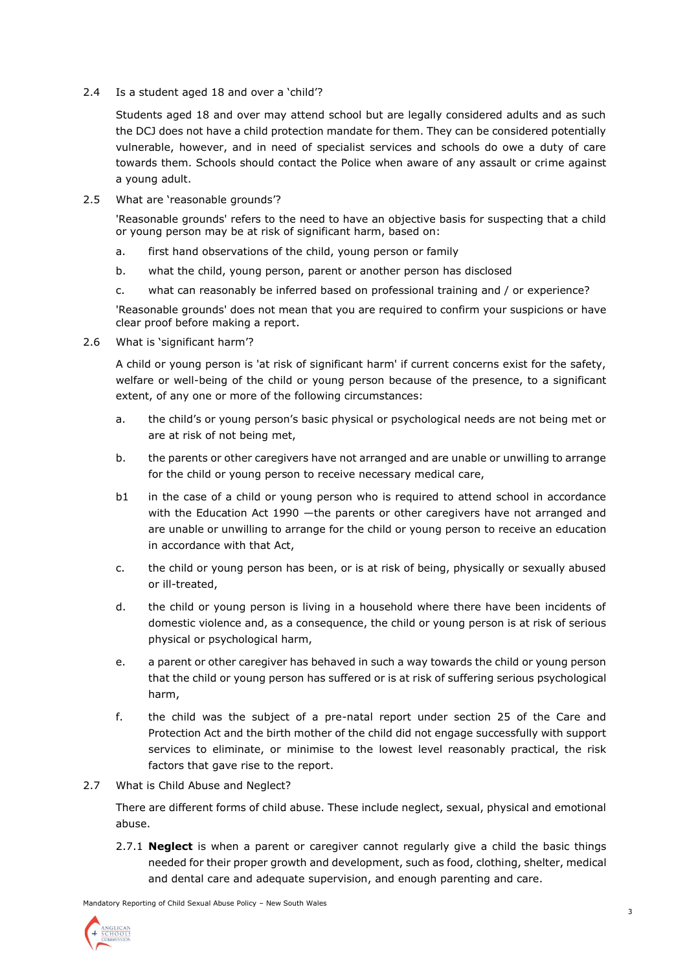2.4 Is a student aged 18 and over a 'child'?

Students aged 18 and over may attend school but are legally considered adults and as such the DCJ does not have a child protection mandate for them. They can be considered potentially vulnerable, however, and in need of specialist services and schools do owe a duty of care towards them. Schools should contact the Police when aware of any assault or crime against a young adult.

2.5 What are 'reasonable grounds'?

'Reasonable grounds' refers to the need to have an objective basis for suspecting that a child or young person may be at risk of significant harm, based on:

- a. first hand observations of the child, young person or family
- b. what the child, young person, parent or another person has disclosed
- c. what can reasonably be inferred based on professional training and / or experience?

'Reasonable grounds' does not mean that you are required to confirm your suspicions or have clear proof before making a report.

2.6 What is 'significant harm'?

A child or young person is 'at risk of significant harm' if current concerns exist for the safety, welfare or well-being of the child or young person because of the presence, to a significant extent, of any one or more of the following circumstances:

- a. the child's or young person's basic physical or psychological needs are not being met or are at risk of not being met,
- b. the parents or other caregivers have not arranged and are unable or unwilling to arrange for the child or young person to receive necessary medical care,
- b1 in the case of a child or young person who is required to attend school in accordance with the Education Act 1990 —the parents or other caregivers have not arranged and are unable or unwilling to arrange for the child or young person to receive an education in accordance with that Act,
- c. the child or young person has been, or is at risk of being, physically or sexually abused or ill-treated,
- d. the child or young person is living in a household where there have been incidents of domestic violence and, as a consequence, the child or young person is at risk of serious physical or psychological harm,
- e. a parent or other caregiver has behaved in such a way towards the child or young person that the child or young person has suffered or is at risk of suffering serious psychological harm,
- f. the child was the subject of a pre-natal report under section 25 of the Care and Protection Act and the birth mother of the child did not engage successfully with support services to eliminate, or minimise to the lowest level reasonably practical, the risk factors that gave rise to the report.
- 2.7 What is Child Abuse and Neglect?

There are different forms of child abuse. These include neglect, sexual, physical and emotional abuse.

2.7.1 **Neglect** is when a parent or caregiver cannot regularly give a child the basic things needed for their proper growth and development, such as food, clothing, shelter, medical and dental care and adequate supervision, and enough parenting and care.

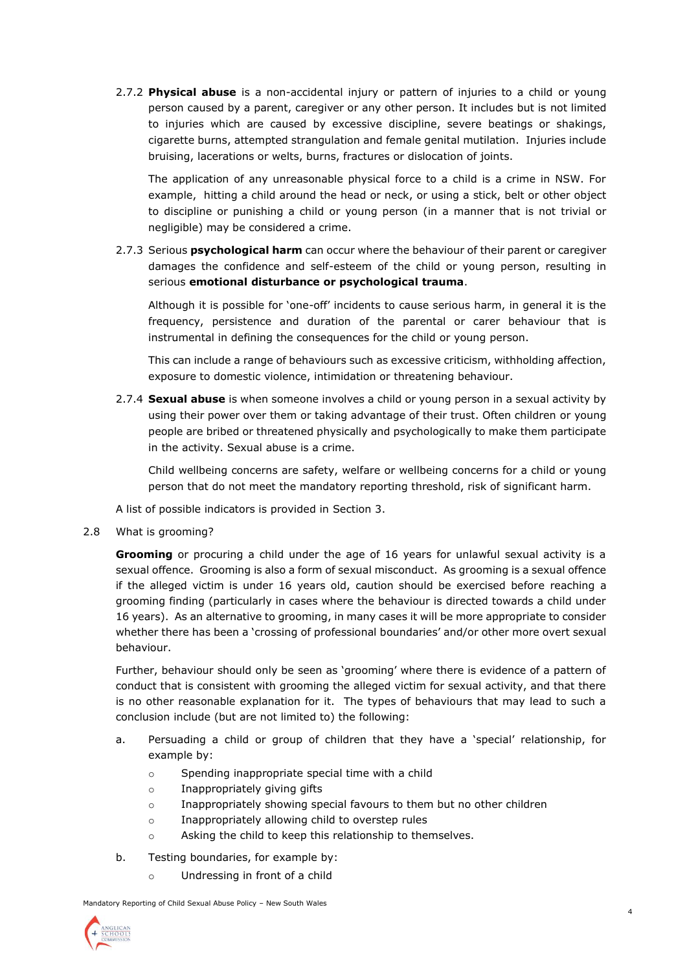2.7.2 **Physical abuse** is a non-accidental injury or pattern of injuries to a child or young person caused by a parent, caregiver or any other person. It includes but is not limited to injuries which are caused by excessive discipline, severe beatings or shakings, cigarette burns, attempted strangulation and female genital mutilation. Injuries include bruising, lacerations or welts, burns, fractures or dislocation of joints.

The application of any unreasonable physical force to a child is a crime in NSW. For example, hitting a child around the head or neck, or using a stick, belt or other object to discipline or punishing a child or young person (in a manner that is not trivial or negligible) may be considered a crime.

2.7.3 Serious **psychological harm** can occur where the behaviour of their parent or caregiver damages the confidence and self-esteem of the child or young person, resulting in serious **emotional disturbance or psychological trauma**.

Although it is possible for 'one-off' incidents to cause serious harm, in general it is the frequency, persistence and duration of the parental or carer behaviour that is instrumental in defining the consequences for the child or young person.

This can include a range of behaviours such as excessive criticism, withholding affection, exposure to domestic violence, intimidation or threatening behaviour.

2.7.4 **Sexual abuse** is when someone involves a child or young person in a sexual activity by using their power over them or taking advantage of their trust. Often children or young people are bribed or threatened physically and psychologically to make them participate in the activity. Sexual abuse is a crime.

Child wellbeing concerns are safety, welfare or wellbeing concerns for a child or young person that do not meet the mandatory reporting threshold, risk of significant harm.

A list of possible indicators is provided in Section 3.

2.8 What is grooming?

**Grooming** or procuring a child under the age of 16 years for unlawful sexual activity is a sexual offence. Grooming is also a form of sexual misconduct. As grooming is a sexual offence if the alleged victim is under 16 years old, caution should be exercised before reaching a grooming finding (particularly in cases where the behaviour is directed towards a child under 16 years). As an alternative to grooming, in many cases it will be more appropriate to consider whether there has been a 'crossing of professional boundaries' and/or other more overt sexual behaviour.

Further, behaviour should only be seen as 'grooming' where there is evidence of a pattern of conduct that is consistent with grooming the alleged victim for sexual activity, and that there is no other reasonable explanation for it. The types of behaviours that may lead to such a conclusion include (but are not limited to) the following:

- a. Persuading a child or group of children that they have a 'special' relationship, for example by:
	- o Spending inappropriate special time with a child
	- o Inappropriately giving gifts
	- o Inappropriately showing special favours to them but no other children
	- o Inappropriately allowing child to overstep rules
	- o Asking the child to keep this relationship to themselves.
- b. Testing boundaries, for example by:
	- o Undressing in front of a child

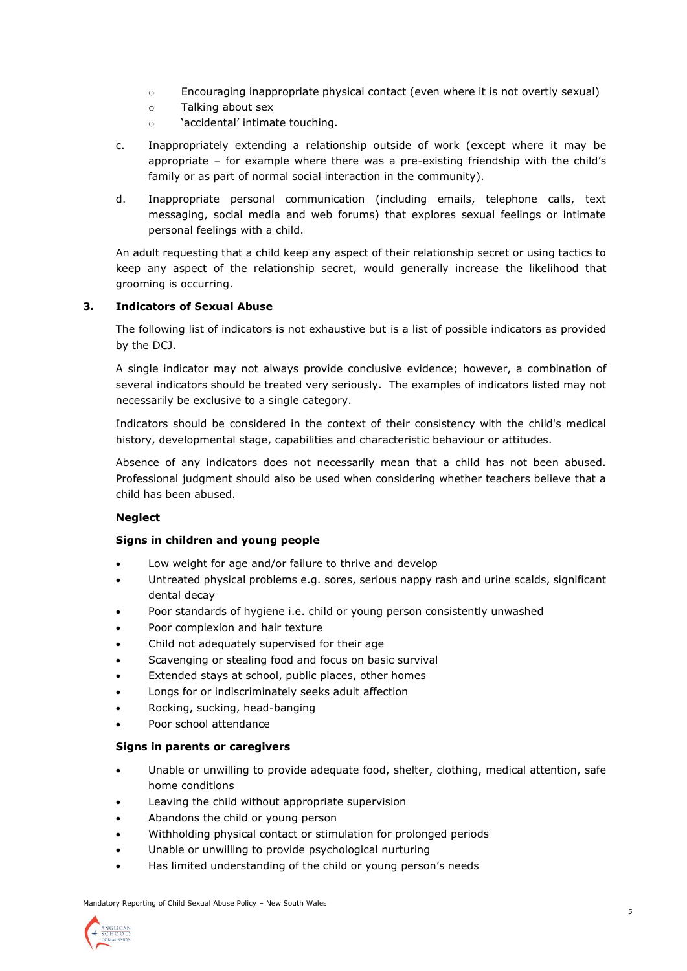- o Encouraging inappropriate physical contact (even where it is not overtly sexual)
- o Talking about sex
- o 'accidental' intimate touching.
- c. Inappropriately extending a relationship outside of work (except where it may be appropriate – for example where there was a pre-existing friendship with the child's family or as part of normal social interaction in the community).
- d. Inappropriate personal communication (including emails, telephone calls, text messaging, social media and web forums) that explores sexual feelings or intimate personal feelings with a child.

An adult requesting that a child keep any aspect of their relationship secret or using tactics to keep any aspect of the relationship secret, would generally increase the likelihood that grooming is occurring.

# **3. Indicators of Sexual Abuse**

The following list of indicators is not exhaustive but is a list of possible indicators as provided by the DCJ.

A single indicator may not always provide conclusive evidence; however, a combination of several indicators should be treated very seriously. The examples of indicators listed may not necessarily be exclusive to a single category.

Indicators should be considered in the context of their consistency with the child's medical history, developmental stage, capabilities and characteristic behaviour or attitudes.

Absence of any indicators does not necessarily mean that a child has not been abused. Professional judgment should also be used when considering whether teachers believe that a child has been abused.

# **Neglect**

## **Signs in children and young people**

- Low weight for age and/or failure to thrive and develop
- Untreated physical problems e.g. sores, serious nappy rash and urine scalds, significant dental decay
- Poor standards of hygiene i.e. child or young person consistently unwashed
- Poor complexion and hair texture
- Child not adequately supervised for their age
- Scavenging or stealing food and focus on basic survival
- Extended stays at school, public places, other homes
- Longs for or indiscriminately seeks adult affection
- Rocking, sucking, head-banging
- Poor school attendance

## **Signs in parents or caregivers**

- Unable or unwilling to provide adequate food, shelter, clothing, medical attention, safe home conditions
- Leaving the child without appropriate supervision
- Abandons the child or young person
- Withholding physical contact or stimulation for prolonged periods
- Unable or unwilling to provide psychological nurturing
- Has limited understanding of the child or young person's needs

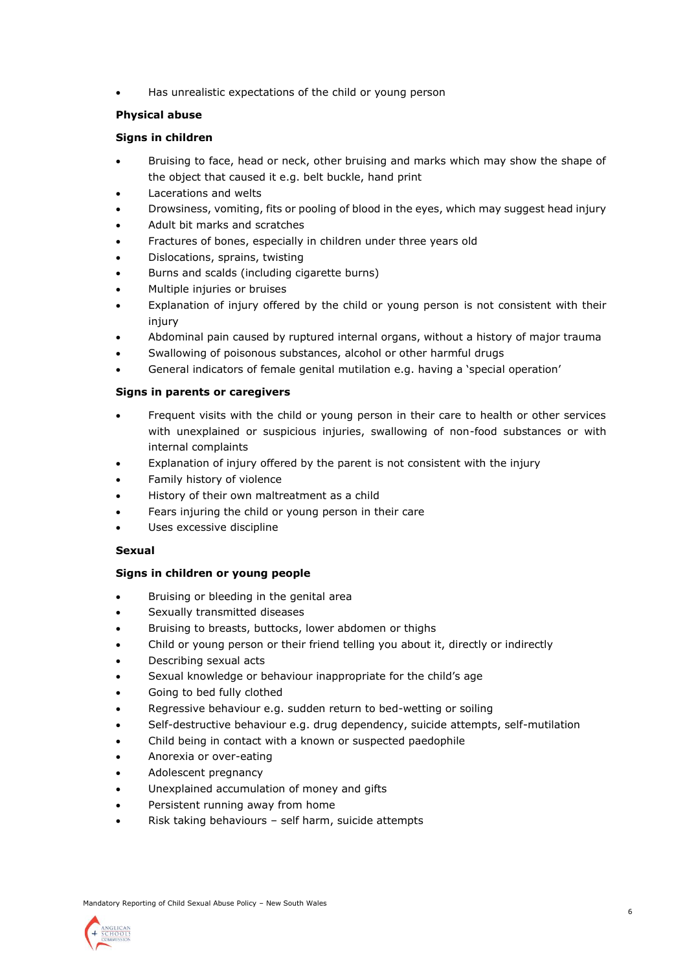• Has unrealistic expectations of the child or young person

# **Physical abuse**

# **Signs in children**

- Bruising to face, head or neck, other bruising and marks which may show the shape of the object that caused it e.g. belt buckle, hand print
- Lacerations and welts
- Drowsiness, vomiting, fits or pooling of blood in the eyes, which may suggest head injury
- Adult bit marks and scratches
- Fractures of bones, especially in children under three years old
- Dislocations, sprains, twisting
- Burns and scalds (including cigarette burns)
- Multiple injuries or bruises
- Explanation of injury offered by the child or young person is not consistent with their injury
- Abdominal pain caused by ruptured internal organs, without a history of major trauma
- Swallowing of poisonous substances, alcohol or other harmful drugs
- General indicators of female genital mutilation e.g. having a 'special operation'

## **Signs in parents or caregivers**

- Frequent visits with the child or young person in their care to health or other services with unexplained or suspicious injuries, swallowing of non-food substances or with internal complaints
- Explanation of injury offered by the parent is not consistent with the injury
- Family history of violence
- History of their own maltreatment as a child
- Fears injuring the child or young person in their care
- Uses excessive discipline

## **Sexual**

## **Signs in children or young people**

- Bruising or bleeding in the genital area
- Sexually transmitted diseases
- Bruising to breasts, buttocks, lower abdomen or thighs
- Child or young person or their friend telling you about it, directly or indirectly
- Describing sexual acts
- Sexual knowledge or behaviour inappropriate for the child's age
- Going to bed fully clothed
- Regressive behaviour e.g. sudden return to bed-wetting or soiling
- Self-destructive behaviour e.g. drug dependency, suicide attempts, self-mutilation
- Child being in contact with a known or suspected paedophile
- Anorexia or over-eating
- Adolescent pregnancy
- Unexplained accumulation of money and gifts
- Persistent running away from home
- Risk taking behaviours self harm, suicide attempts

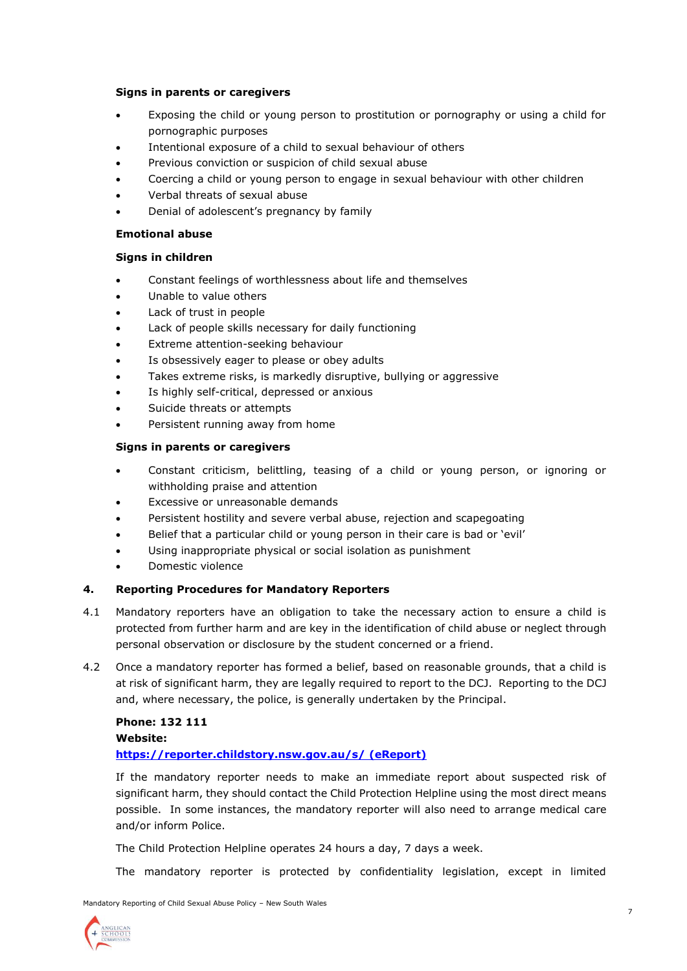## **Signs in parents or caregivers**

- Exposing the child or young person to prostitution or pornography or using a child for pornographic purposes
- Intentional exposure of a child to sexual behaviour of others
- Previous conviction or suspicion of child sexual abuse
- Coercing a child or young person to engage in sexual behaviour with other children
- Verbal threats of sexual abuse
- Denial of adolescent's pregnancy by family

## **Emotional abuse**

## **Signs in children**

- Constant feelings of worthlessness about life and themselves
- Unable to value others
- Lack of trust in people
- Lack of people skills necessary for daily functioning
- Extreme attention-seeking behaviour
- Is obsessively eager to please or obey adults
- Takes extreme risks, is markedly disruptive, bullying or aggressive
- Is highly self-critical, depressed or anxious
- Suicide threats or attempts
- Persistent running away from home

## **Signs in parents or caregivers**

- Constant criticism, belittling, teasing of a child or young person, or ignoring or withholding praise and attention
- Excessive or unreasonable demands
- Persistent hostility and severe verbal abuse, rejection and scapegoating
- Belief that a particular child or young person in their care is bad or 'evil'
- Using inappropriate physical or social isolation as punishment
- Domestic violence

## **4. Reporting Procedures for Mandatory Reporters**

- 4.1 Mandatory reporters have an obligation to take the necessary action to ensure a child is protected from further harm and are key in the identification of child abuse or neglect through personal observation or disclosure by the student concerned or a friend.
- 4.2 Once a mandatory reporter has formed a belief, based on reasonable grounds, that a child is at risk of significant harm, they are legally required to report to the DCJ. Reporting to the DCJ and, where necessary, the police, is generally undertaken by the Principal.

## **Phone: 132 111**

## **Website:**

## **<https://reporter.childstory.nsw.gov.au/s/> (eReport)**

If the mandatory reporter needs to make an immediate report about suspected risk of significant harm, they should contact the Child Protection Helpline using the most direct means possible. In some instances, the mandatory reporter will also need to arrange medical care and/or inform Police.

The Child Protection Helpline operates 24 hours a day, 7 days a week.

The mandatory reporter is protected by confidentiality legislation, except in limited

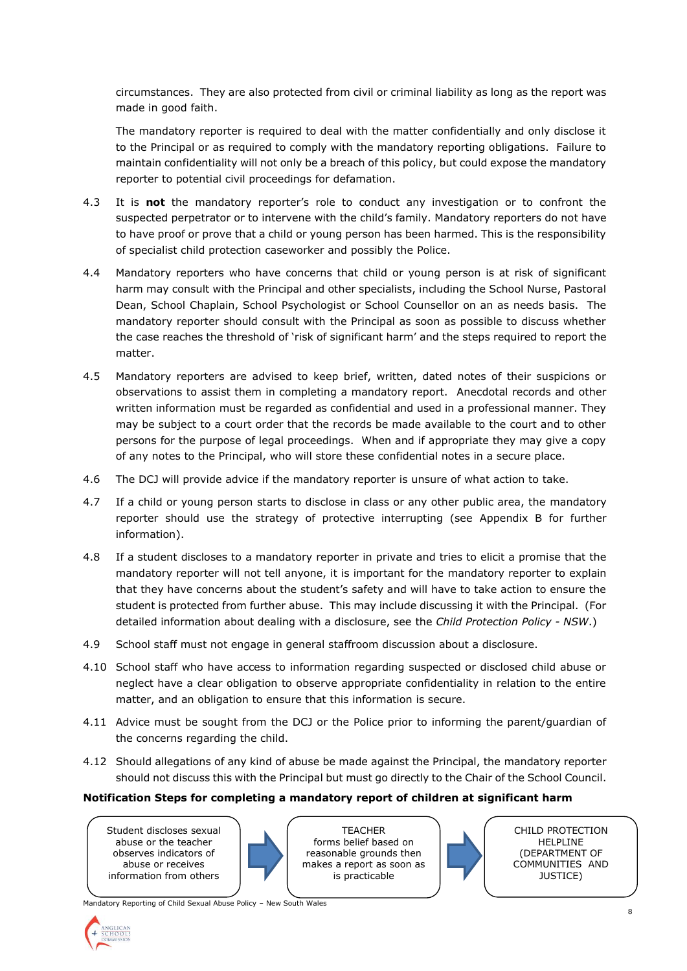circumstances. They are also protected from civil or criminal liability as long as the report was made in good faith.

The mandatory reporter is required to deal with the matter confidentially and only disclose it to the Principal or as required to comply with the mandatory reporting obligations. Failure to maintain confidentiality will not only be a breach of this policy, but could expose the mandatory reporter to potential civil proceedings for defamation.

- 4.3 It is **not** the mandatory reporter's role to conduct any investigation or to confront the suspected perpetrator or to intervene with the child's family. Mandatory reporters do not have to have proof or prove that a child or young person has been harmed. This is the responsibility of specialist child protection caseworker and possibly the Police.
- 4.4 Mandatory reporters who have concerns that child or young person is at risk of significant harm may consult with the Principal and other specialists, including the School Nurse, Pastoral Dean, School Chaplain, School Psychologist or School Counsellor on an as needs basis. The mandatory reporter should consult with the Principal as soon as possible to discuss whether the case reaches the threshold of 'risk of significant harm' and the steps required to report the matter.
- 4.5 Mandatory reporters are advised to keep brief, written, dated notes of their suspicions or observations to assist them in completing a mandatory report. Anecdotal records and other written information must be regarded as confidential and used in a professional manner. They may be subject to a court order that the records be made available to the court and to other persons for the purpose of legal proceedings. When and if appropriate they may give a copy of any notes to the Principal, who will store these confidential notes in a secure place.
- 4.6 The DCJ will provide advice if the mandatory reporter is unsure of what action to take.
- 4.7 If a child or young person starts to disclose in class or any other public area, the mandatory reporter should use the strategy of protective interrupting (see Appendix B for further information).
- 4.8 If a student discloses to a mandatory reporter in private and tries to elicit a promise that the mandatory reporter will not tell anyone, it is important for the mandatory reporter to explain that they have concerns about the student's safety and will have to take action to ensure the student is protected from further abuse. This may include discussing it with the Principal. (For detailed information about dealing with a disclosure, see the *Child Protection Policy - NSW*.)
- 4.9 School staff must not engage in general staffroom discussion about a disclosure.
- 4.10 School staff who have access to information regarding suspected or disclosed child abuse or neglect have a clear obligation to observe appropriate confidentiality in relation to the entire matter, and an obligation to ensure that this information is secure.
- 4.11 Advice must be sought from the DCJ or the Police prior to informing the parent/guardian of the concerns regarding the child.
- 4.12 Should allegations of any kind of abuse be made against the Principal, the mandatory reporter should not discuss this with the Principal but must go directly to the Chair of the School Council.

## **Notification Steps for completing a mandatory report of children at significant harm**

Student discloses sexual abuse or the teacher observes indicators of abuse or receives information from others

**TFACHER** forms belief based on reasonable grounds then makes a report as soon as is practicable



CHILD PROTECTION HELPLINE (DEPARTMENT OF COMMUNITIES AND JUSTICE)

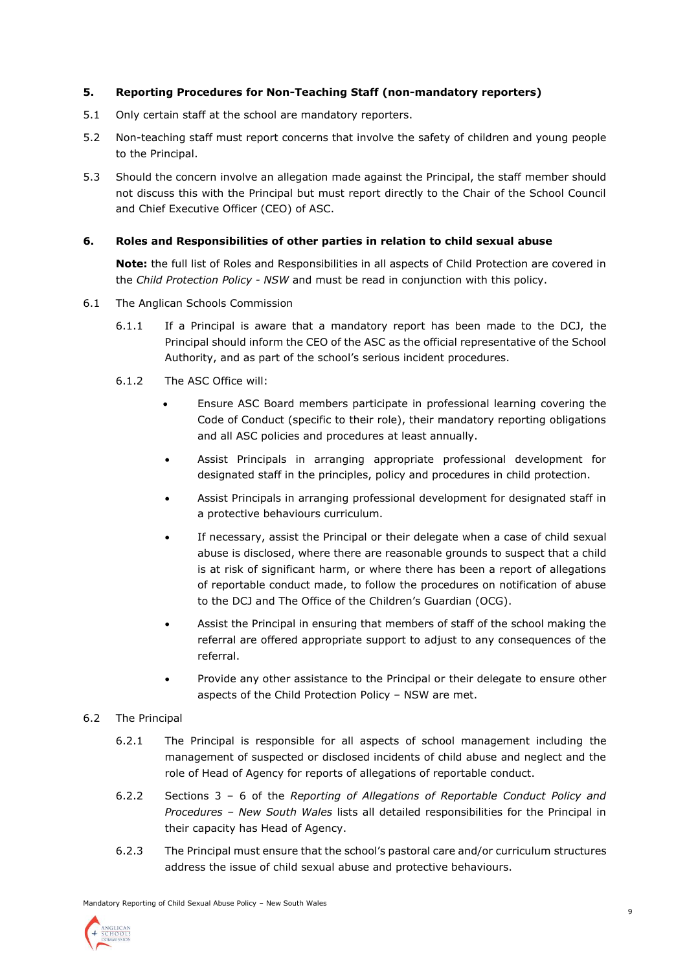# **5. Reporting Procedures for Non-Teaching Staff (non-mandatory reporters)**

- 5.1 Only certain staff at the school are mandatory reporters.
- 5.2 Non-teaching staff must report concerns that involve the safety of children and young people to the Principal.
- 5.3 Should the concern involve an allegation made against the Principal, the staff member should not discuss this with the Principal but must report directly to the Chair of the School Council and Chief Executive Officer (CEO) of ASC.

## **6. Roles and Responsibilities of other parties in relation to child sexual abuse**

**Note:** the full list of Roles and Responsibilities in all aspects of Child Protection are covered in the *Child Protection Policy - NSW* and must be read in conjunction with this policy.

- 6.1 The Anglican Schools Commission
	- 6.1.1 If a Principal is aware that a mandatory report has been made to the DCJ, the Principal should inform the CEO of the ASC as the official representative of the School Authority, and as part of the school's serious incident procedures.
	- 6.1.2 The ASC Office will:
		- Ensure ASC Board members participate in professional learning covering the Code of Conduct (specific to their role), their mandatory reporting obligations and all ASC policies and procedures at least annually.
		- Assist Principals in arranging appropriate professional development for designated staff in the principles, policy and procedures in child protection.
		- Assist Principals in arranging professional development for designated staff in a protective behaviours curriculum.
		- If necessary, assist the Principal or their delegate when a case of child sexual abuse is disclosed, where there are reasonable grounds to suspect that a child is at risk of significant harm, or where there has been a report of allegations of reportable conduct made, to follow the procedures on notification of abuse to the DCJ and The Office of the Children's Guardian (OCG).
		- Assist the Principal in ensuring that members of staff of the school making the referral are offered appropriate support to adjust to any consequences of the referral.
		- Provide any other assistance to the Principal or their delegate to ensure other aspects of the Child Protection Policy – NSW are met.

## 6.2 The Principal

- 6.2.1 The Principal is responsible for all aspects of school management including the management of suspected or disclosed incidents of child abuse and neglect and the role of Head of Agency for reports of allegations of reportable conduct.
- 6.2.2 Sections 3 6 of the *Reporting of Allegations of Reportable Conduct Policy and Procedures – New South Wales* lists all detailed responsibilities for the Principal in their capacity has Head of Agency.
- 6.2.3 The Principal must ensure that the school's pastoral care and/or curriculum structures address the issue of child sexual abuse and protective behaviours.

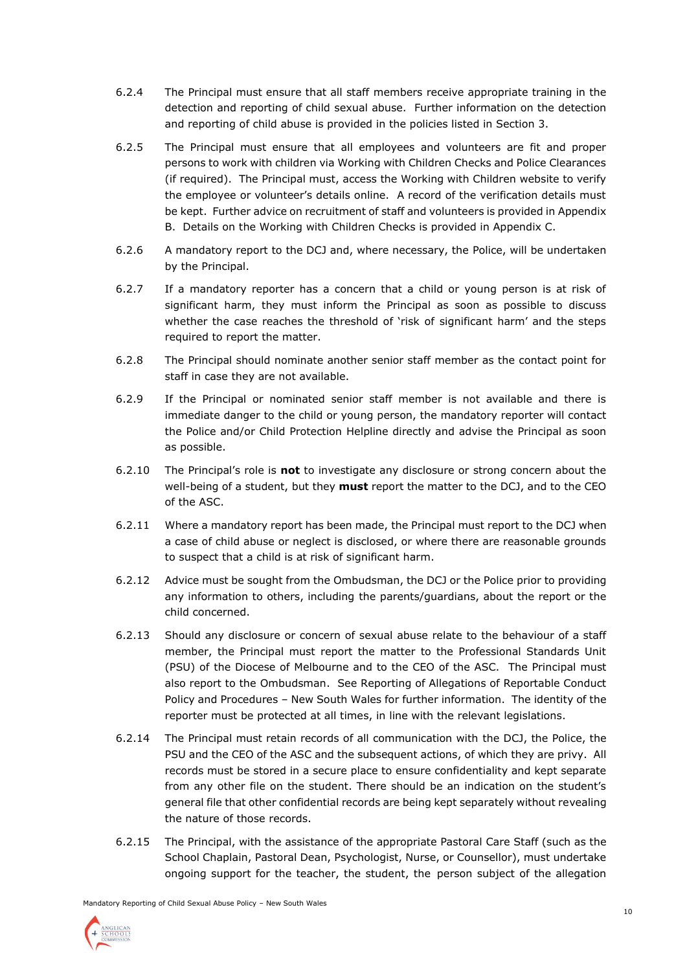- 6.2.4 The Principal must ensure that all staff members receive appropriate training in the detection and reporting of child sexual abuse. Further information on the detection and reporting of child abuse is provided in the policies listed in Section 3.
- 6.2.5 The Principal must ensure that all employees and volunteers are fit and proper persons to work with children via Working with Children Checks and Police Clearances (if required). The Principal must, access the Working with Children website to verify the employee or volunteer's details online. A record of the verification details must be kept. Further advice on recruitment of staff and volunteers is provided in Appendix B. Details on the Working with Children Checks is provided in Appendix C.
- 6.2.6 A mandatory report to the DCJ and, where necessary, the Police, will be undertaken by the Principal.
- 6.2.7 If a mandatory reporter has a concern that a child or young person is at risk of significant harm, they must inform the Principal as soon as possible to discuss whether the case reaches the threshold of 'risk of significant harm' and the steps required to report the matter.
- 6.2.8 The Principal should nominate another senior staff member as the contact point for staff in case they are not available.
- 6.2.9 If the Principal or nominated senior staff member is not available and there is immediate danger to the child or young person, the mandatory reporter will contact the Police and/or Child Protection Helpline directly and advise the Principal as soon as possible.
- 6.2.10 The Principal's role is **not** to investigate any disclosure or strong concern about the well-being of a student, but they **must** report the matter to the DCJ, and to the CEO of the ASC.
- 6.2.11 Where a mandatory report has been made, the Principal must report to the DCJ when a case of child abuse or neglect is disclosed, or where there are reasonable grounds to suspect that a child is at risk of significant harm.
- 6.2.12 Advice must be sought from the Ombudsman, the DCJ or the Police prior to providing any information to others, including the parents/guardians, about the report or the child concerned.
- 6.2.13 Should any disclosure or concern of sexual abuse relate to the behaviour of a staff member, the Principal must report the matter to the Professional Standards Unit (PSU) of the Diocese of Melbourne and to the CEO of the ASC. The Principal must also report to the Ombudsman. See Reporting of Allegations of Reportable Conduct Policy and Procedures – New South Wales for further information. The identity of the reporter must be protected at all times, in line with the relevant legislations.
- 6.2.14 The Principal must retain records of all communication with the DCJ, the Police, the PSU and the CEO of the ASC and the subsequent actions, of which they are privy. All records must be stored in a secure place to ensure confidentiality and kept separate from any other file on the student. There should be an indication on the student's general file that other confidential records are being kept separately without revealing the nature of those records.
- 6.2.15 The Principal, with the assistance of the appropriate Pastoral Care Staff (such as the School Chaplain, Pastoral Dean, Psychologist, Nurse, or Counsellor), must undertake ongoing support for the teacher, the student, the person subject of the allegation

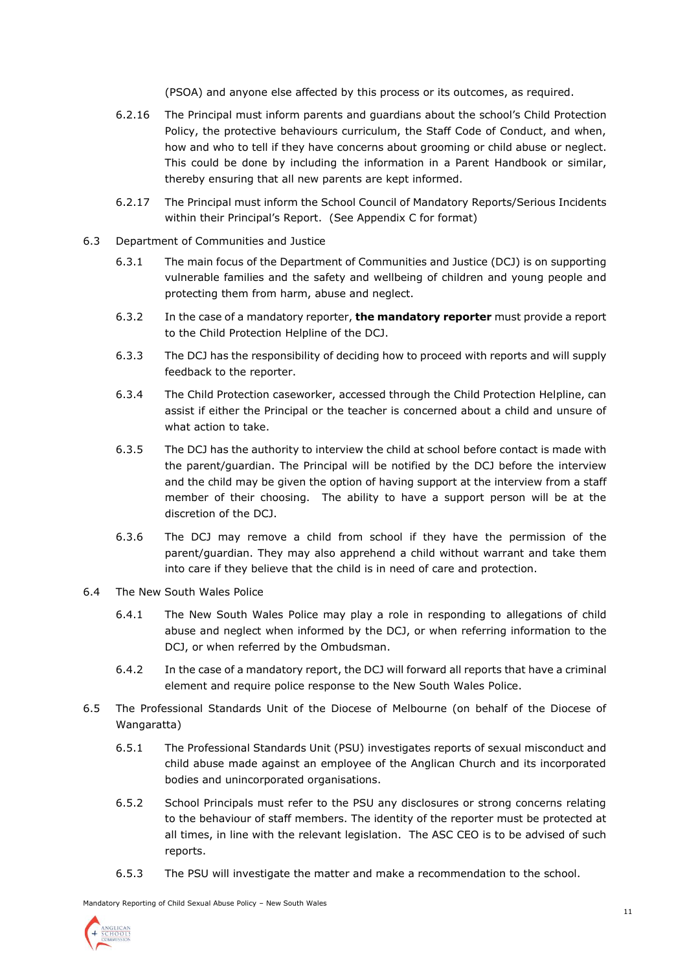(PSOA) and anyone else affected by this process or its outcomes, as required.

- 6.2.16 The Principal must inform parents and guardians about the school's Child Protection Policy, the protective behaviours curriculum, the Staff Code of Conduct, and when, how and who to tell if they have concerns about grooming or child abuse or neglect. This could be done by including the information in a Parent Handbook or similar, thereby ensuring that all new parents are kept informed.
- 6.2.17 The Principal must inform the School Council of Mandatory Reports/Serious Incidents within their Principal's Report. (See Appendix C for format)
- 6.3 Department of Communities and Justice
	- 6.3.1 The main focus of the Department of Communities and Justice (DCJ) is on supporting vulnerable families and the safety and wellbeing of children and young people and protecting them from harm, abuse and neglect.
	- 6.3.2 In the case of a mandatory reporter, **the mandatory reporter** must provide a report to the Child Protection Helpline of the DCJ.
	- 6.3.3 The DCJ has the responsibility of deciding how to proceed with reports and will supply feedback to the reporter.
	- 6.3.4 The Child Protection caseworker, accessed through the Child Protection Helpline, can assist if either the Principal or the teacher is concerned about a child and unsure of what action to take.
	- 6.3.5 The DCJ has the authority to interview the child at school before contact is made with the parent/guardian. The Principal will be notified by the DCJ before the interview and the child may be given the option of having support at the interview from a staff member of their choosing. The ability to have a support person will be at the discretion of the DCJ.
	- 6.3.6 The DCJ may remove a child from school if they have the permission of the parent/guardian. They may also apprehend a child without warrant and take them into care if they believe that the child is in need of care and protection.
- 6.4 The New South Wales Police
	- 6.4.1 The New South Wales Police may play a role in responding to allegations of child abuse and neglect when informed by the DCJ, or when referring information to the DCJ, or when referred by the Ombudsman.
	- 6.4.2 In the case of a mandatory report, the DCJ will forward all reports that have a criminal element and require police response to the New South Wales Police.
- 6.5 The Professional Standards Unit of the Diocese of Melbourne (on behalf of the Diocese of Wangaratta)
	- 6.5.1 The Professional Standards Unit (PSU) investigates reports of sexual misconduct and child abuse made against an employee of the Anglican Church and its incorporated bodies and unincorporated organisations.
	- 6.5.2 School Principals must refer to the PSU any disclosures or strong concerns relating to the behaviour of staff members. The identity of the reporter must be protected at all times, in line with the relevant legislation. The ASC CEO is to be advised of such reports.
	- 6.5.3 The PSU will investigate the matter and make a recommendation to the school.

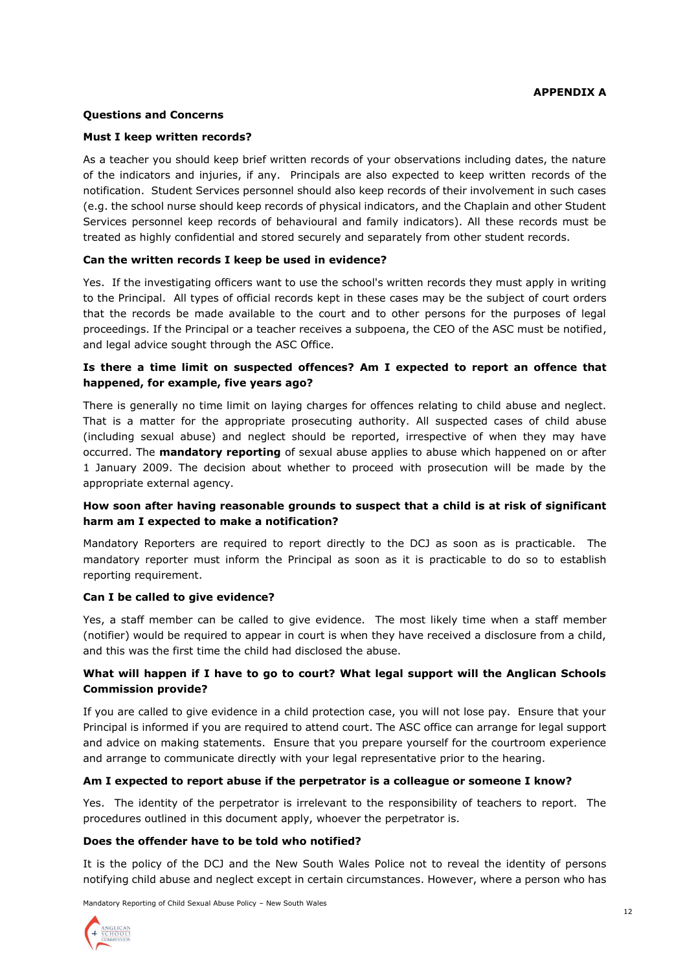## **Questions and Concerns**

#### **Must I keep written records?**

As a teacher you should keep brief written records of your observations including dates, the nature of the indicators and injuries, if any. Principals are also expected to keep written records of the notification. Student Services personnel should also keep records of their involvement in such cases (e.g. the school nurse should keep records of physical indicators, and the Chaplain and other Student Services personnel keep records of behavioural and family indicators). All these records must be treated as highly confidential and stored securely and separately from other student records.

## **Can the written records I keep be used in evidence?**

Yes. If the investigating officers want to use the school's written records they must apply in writing to the Principal. All types of official records kept in these cases may be the subject of court orders that the records be made available to the court and to other persons for the purposes of legal proceedings. If the Principal or a teacher receives a subpoena, the CEO of the ASC must be notified, and legal advice sought through the ASC Office.

## **Is there a time limit on suspected offences? Am I expected to report an offence that happened, for example, five years ago?**

There is generally no time limit on laying charges for offences relating to child abuse and neglect. That is a matter for the appropriate prosecuting authority. All suspected cases of child abuse (including sexual abuse) and neglect should be reported, irrespective of when they may have occurred. The **mandatory reporting** of sexual abuse applies to abuse which happened on or after 1 January 2009. The decision about whether to proceed with prosecution will be made by the appropriate external agency.

## **How soon after having reasonable grounds to suspect that a child is at risk of significant harm am I expected to make a notification?**

Mandatory Reporters are required to report directly to the DCJ as soon as is practicable. The mandatory reporter must inform the Principal as soon as it is practicable to do so to establish reporting requirement.

## **Can I be called to give evidence?**

Yes, a staff member can be called to give evidence. The most likely time when a staff member (notifier) would be required to appear in court is when they have received a disclosure from a child, and this was the first time the child had disclosed the abuse.

# **What will happen if I have to go to court? What legal support will the Anglican Schools Commission provide?**

If you are called to give evidence in a child protection case, you will not lose pay. Ensure that your Principal is informed if you are required to attend court. The ASC office can arrange for legal support and advice on making statements. Ensure that you prepare yourself for the courtroom experience and arrange to communicate directly with your legal representative prior to the hearing.

#### **Am I expected to report abuse if the perpetrator is a colleague or someone I know?**

Yes. The identity of the perpetrator is irrelevant to the responsibility of teachers to report. The procedures outlined in this document apply, whoever the perpetrator is.

#### **Does the offender have to be told who notified?**

It is the policy of the DCJ and the New South Wales Police not to reveal the identity of persons notifying child abuse and neglect except in certain circumstances. However, where a person who has

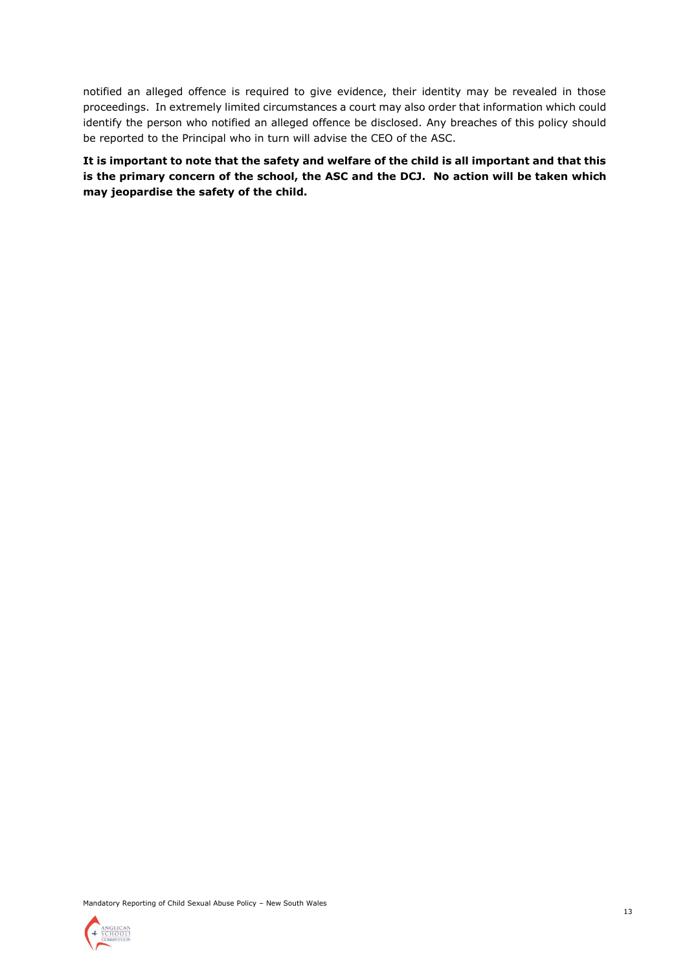notified an alleged offence is required to give evidence, their identity may be revealed in those proceedings. In extremely limited circumstances a court may also order that information which could identify the person who notified an alleged offence be disclosed. Any breaches of this policy should be reported to the Principal who in turn will advise the CEO of the ASC.

**It is important to note that the safety and welfare of the child is all important and that this is the primary concern of the school, the ASC and the DCJ. No action will be taken which may jeopardise the safety of the child.**



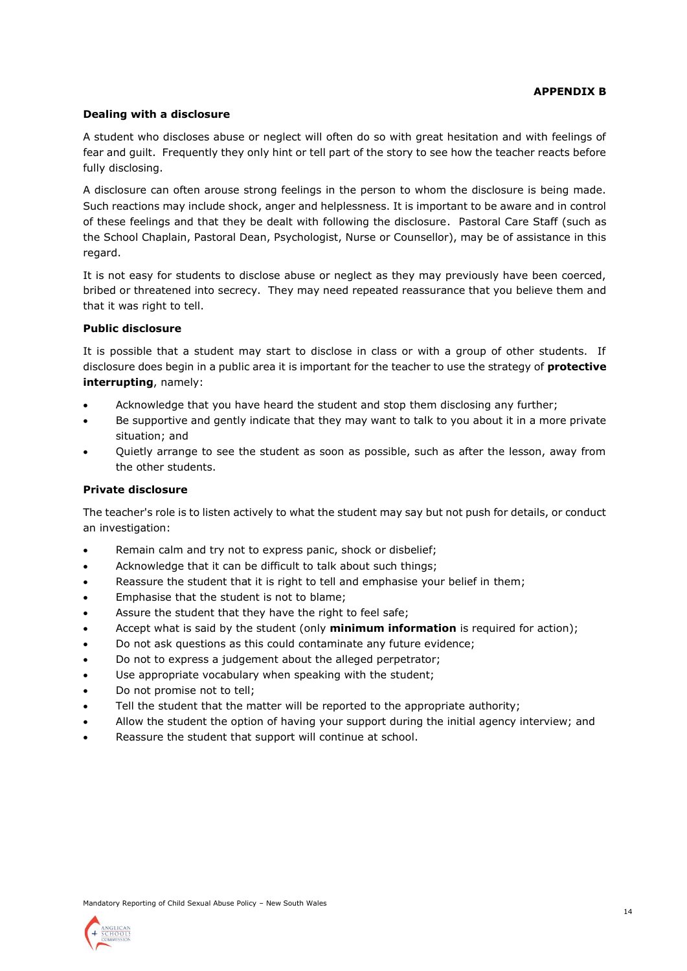#### **APPENDIX B**

#### **Dealing with a disclosure**

A student who discloses abuse or neglect will often do so with great hesitation and with feelings of fear and guilt. Frequently they only hint or tell part of the story to see how the teacher reacts before fully disclosing.

A disclosure can often arouse strong feelings in the person to whom the disclosure is being made. Such reactions may include shock, anger and helplessness. It is important to be aware and in control of these feelings and that they be dealt with following the disclosure. Pastoral Care Staff (such as the School Chaplain, Pastoral Dean, Psychologist, Nurse or Counsellor), may be of assistance in this regard.

It is not easy for students to disclose abuse or neglect as they may previously have been coerced, bribed or threatened into secrecy. They may need repeated reassurance that you believe them and that it was right to tell.

#### **Public disclosure**

It is possible that a student may start to disclose in class or with a group of other students. If disclosure does begin in a public area it is important for the teacher to use the strategy of **protective interrupting**, namely:

- Acknowledge that you have heard the student and stop them disclosing any further;
- Be supportive and gently indicate that they may want to talk to you about it in a more private situation; and
- Quietly arrange to see the student as soon as possible, such as after the lesson, away from the other students.

#### **Private disclosure**

The teacher's role is to listen actively to what the student may say but not push for details, or conduct an investigation:

- Remain calm and try not to express panic, shock or disbelief;
- Acknowledge that it can be difficult to talk about such things;
- Reassure the student that it is right to tell and emphasise your belief in them;
- Emphasise that the student is not to blame;
- Assure the student that they have the right to feel safe;
- Accept what is said by the student (only **minimum information** is required for action);
- Do not ask questions as this could contaminate any future evidence;
- Do not to express a judgement about the alleged perpetrator;
- Use appropriate vocabulary when speaking with the student;
- Do not promise not to tell;
- Tell the student that the matter will be reported to the appropriate authority;
- Allow the student the option of having your support during the initial agency interview; and
- Reassure the student that support will continue at school.

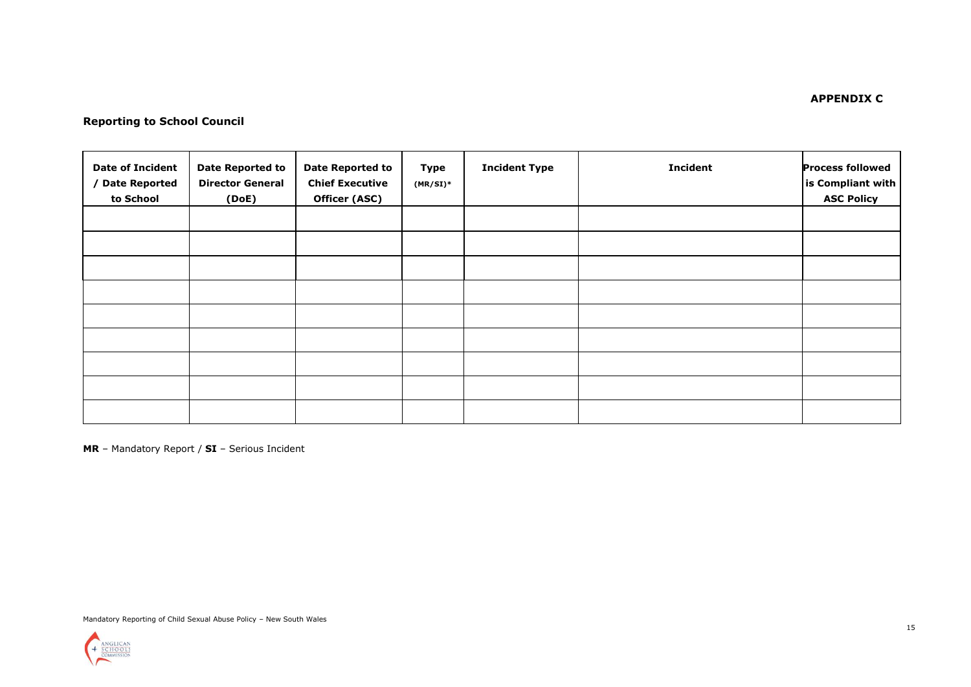# **Reporting to School Council**

| <b>Date of Incident</b><br>/ Date Reported<br>to School | <b>Date Reported to</b><br><b>Director General</b><br>(DoE) | <b>Date Reported to</b><br><b>Chief Executive</b><br>Officer (ASC) | Type<br>$(MR/SI)^*$ | <b>Incident Type</b> | <b>Incident</b> | <b>Process followed</b><br>is Compliant with<br><b>ASC Policy</b> |
|---------------------------------------------------------|-------------------------------------------------------------|--------------------------------------------------------------------|---------------------|----------------------|-----------------|-------------------------------------------------------------------|
|                                                         |                                                             |                                                                    |                     |                      |                 |                                                                   |
|                                                         |                                                             |                                                                    |                     |                      |                 |                                                                   |
|                                                         |                                                             |                                                                    |                     |                      |                 |                                                                   |
|                                                         |                                                             |                                                                    |                     |                      |                 |                                                                   |
|                                                         |                                                             |                                                                    |                     |                      |                 |                                                                   |
|                                                         |                                                             |                                                                    |                     |                      |                 |                                                                   |
|                                                         |                                                             |                                                                    |                     |                      |                 |                                                                   |
|                                                         |                                                             |                                                                    |                     |                      |                 |                                                                   |
|                                                         |                                                             |                                                                    |                     |                      |                 |                                                                   |

**MR** – Mandatory Report / **SI** – Serious Incident